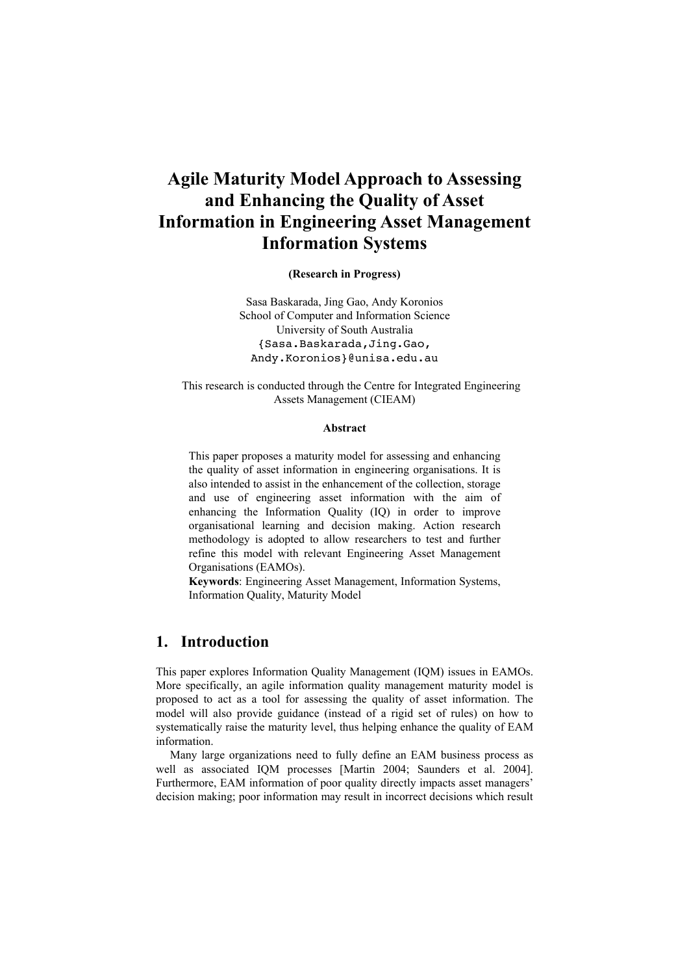# **Agile Maturity Model Approach to Assessing and Enhancing the Quality of Asset Information in Engineering Asset Management Information Systems**

**(Research in Progress)**

Sasa Baskarada, Jing Gao, Andy Koronios School of Computer and Information Science University of South Australia {Sasa.Baskarada,Jing.Gao, Andy.Koronios}@unisa.edu.au

This research is conducted through the Centre for Integrated Engineering Assets Management (CIEAM)

#### **Abstract**

This paper proposes a maturity model for assessing and enhancing the quality of asset information in engineering organisations. It is also intended to assist in the enhancement of the collection, storage and use of engineering asset information with the aim of enhancing the Information Quality (IQ) in order to improve organisational learning and decision making. Action research methodology is adopted to allow researchers to test and further refine this model with relevant Engineering Asset Management Organisations (EAMOs).

**Keywords**: Engineering Asset Management, Information Systems, Information Quality, Maturity Model

## **1. Introduction**

This paper explores Information Quality Management (IQM) issues in EAMOs. More specifically, an agile information quality management maturity model is proposed to act as a tool for assessing the quality of asset information. The model will also provide guidance (instead of a rigid set of rules) on how to systematically raise the maturity level, thus helping enhance the quality of EAM information.

Many large organizations need to fully define an EAM business process as well as associated IQM processes [Martin 2004; Saunders et al. 2004]. Furthermore, EAM information of poor quality directly impacts asset managers' decision making; poor information may result in incorrect decisions which result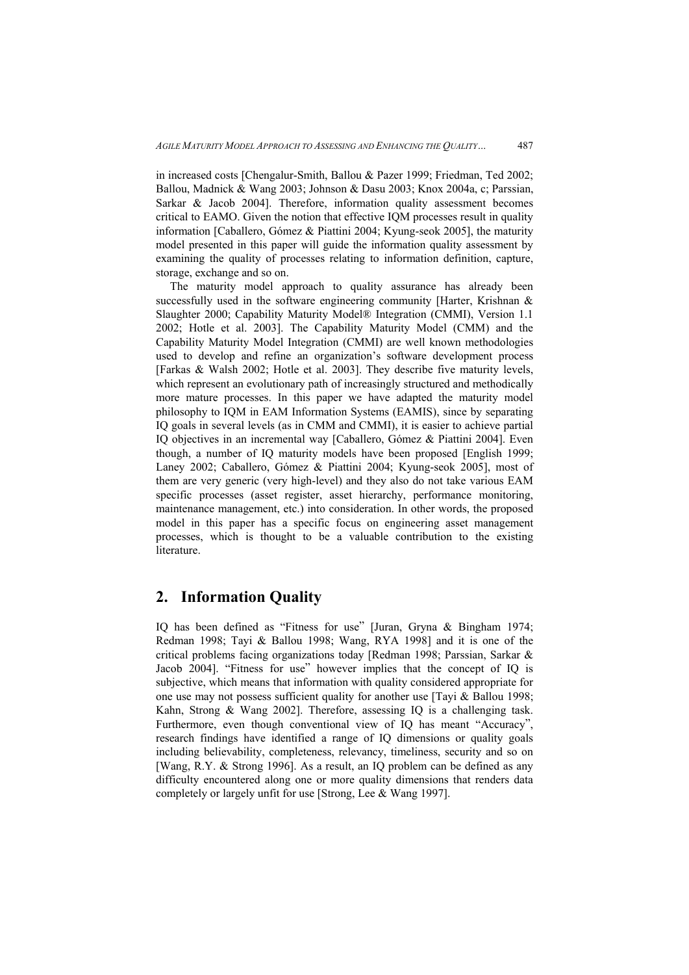in increased costs [Chengalur-Smith, Ballou & Pazer 1999; Friedman, Ted 2002; Ballou, Madnick & Wang 2003; Johnson & Dasu 2003; Knox 2004a, c; Parssian, Sarkar & Jacob 2004]. Therefore, information quality assessment becomes critical to EAMO. Given the notion that effective IQM processes result in quality information [Caballero, Gómez & Piattini 2004; Kyung-seok 2005], the maturity model presented in this paper will guide the information quality assessment by examining the quality of processes relating to information definition, capture, storage, exchange and so on.

The maturity model approach to quality assurance has already been successfully used in the software engineering community [Harter, Krishnan & Slaughter 2000; Capability Maturity Model® Integration (CMMI), Version 1.1 2002; Hotle et al. 2003]. The Capability Maturity Model (CMM) and the Capability Maturity Model Integration (CMMI) are well known methodologies used to develop and refine an organization's software development process [Farkas & Walsh 2002; Hotle et al. 2003]. They describe five maturity levels, which represent an evolutionary path of increasingly structured and methodically more mature processes. In this paper we have adapted the maturity model philosophy to IQM in EAM Information Systems (EAMIS), since by separating IQ goals in several levels (as in CMM and CMMI), it is easier to achieve partial IQ objectives in an incremental way [Caballero, Gómez & Piattini 2004]. Even though, a number of IQ maturity models have been proposed [English 1999; Laney 2002; Caballero, Gómez & Piattini 2004; Kyung-seok 2005], most of them are very generic (very high-level) and they also do not take various EAM specific processes (asset register, asset hierarchy, performance monitoring, maintenance management, etc.) into consideration. In other words, the proposed model in this paper has a specific focus on engineering asset management processes, which is thought to be a valuable contribution to the existing literature.

## **2. Information Quality**

IQ has been defined as "Fitness for use" [Juran, Gryna & Bingham 1974; Redman 1998; Tayi & Ballou 1998; Wang, RYA 1998] and it is one of the critical problems facing organizations today [Redman 1998; Parssian, Sarkar & Jacob 2004]. "Fitness for use" however implies that the concept of IQ is subjective, which means that information with quality considered appropriate for one use may not possess sufficient quality for another use [Tayi & Ballou 1998; Kahn, Strong & Wang 2002]. Therefore, assessing IQ is a challenging task. Furthermore, even though conventional view of IQ has meant "Accuracy", research findings have identified a range of IQ dimensions or quality goals including believability, completeness, relevancy, timeliness, security and so on [Wang, R.Y. & Strong 1996]. As a result, an IQ problem can be defined as any difficulty encountered along one or more quality dimensions that renders data completely or largely unfit for use [Strong, Lee & Wang 1997].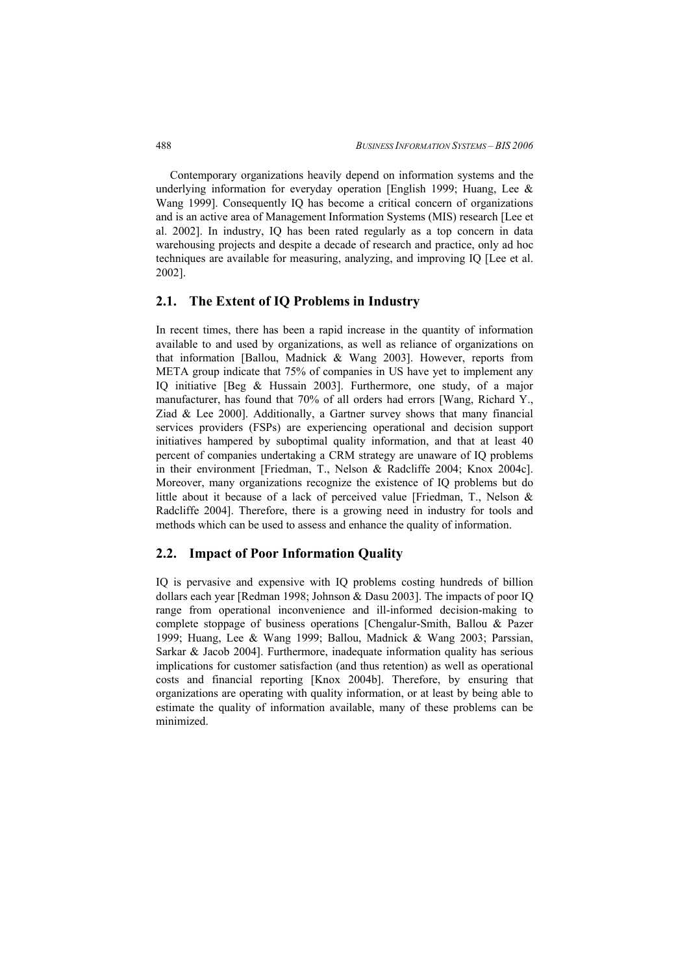Contemporary organizations heavily depend on information systems and the underlying information for everyday operation [English 1999; Huang, Lee & Wang 1999]. Consequently IQ has become a critical concern of organizations and is an active area of Management Information Systems (MIS) research [Lee et al. 2002]. In industry, IQ has been rated regularly as a top concern in data warehousing projects and despite a decade of research and practice, only ad hoc techniques are available for measuring, analyzing, and improving IQ [Lee et al. 2002].

### **2.1. The Extent of IQ Problems in Industry**

In recent times, there has been a rapid increase in the quantity of information available to and used by organizations, as well as reliance of organizations on that information [Ballou, Madnick & Wang 2003]. However, reports from META group indicate that 75% of companies in US have yet to implement any IQ initiative [Beg & Hussain 2003]. Furthermore, one study, of a major manufacturer, has found that 70% of all orders had errors [Wang, Richard Y., Ziad & Lee 2000]. Additionally, a Gartner survey shows that many financial services providers (FSPs) are experiencing operational and decision support initiatives hampered by suboptimal quality information, and that at least 40 percent of companies undertaking a CRM strategy are unaware of IQ problems in their environment [Friedman, T., Nelson & Radcliffe 2004; Knox 2004c]. Moreover, many organizations recognize the existence of IQ problems but do little about it because of a lack of perceived value [Friedman, T., Nelson & Radcliffe 2004]. Therefore, there is a growing need in industry for tools and methods which can be used to assess and enhance the quality of information.

### **2.2. Impact of Poor Information Quality**

IQ is pervasive and expensive with IQ problems costing hundreds of billion dollars each year [Redman 1998; Johnson & Dasu 2003]. The impacts of poor IQ range from operational inconvenience and ill-informed decision-making to complete stoppage of business operations [Chengalur-Smith, Ballou & Pazer 1999; Huang, Lee & Wang 1999; Ballou, Madnick & Wang 2003; Parssian, Sarkar & Jacob 2004]. Furthermore, inadequate information quality has serious implications for customer satisfaction (and thus retention) as well as operational costs and financial reporting [Knox 2004b]. Therefore, by ensuring that organizations are operating with quality information, or at least by being able to estimate the quality of information available, many of these problems can be minimized.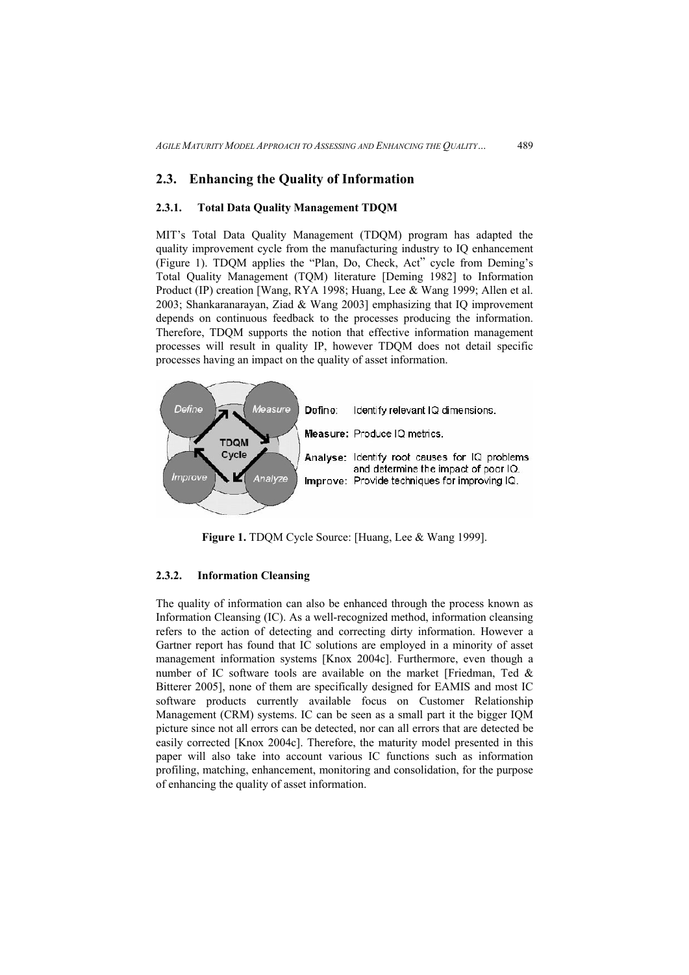#### **2.3. Enhancing the Quality of Information**

#### **2.3.1. Total Data Quality Management TDQM**

MIT's Total Data Quality Management (TDQM) program has adapted the quality improvement cycle from the manufacturing industry to IQ enhancement (Figure 1). TDQM applies the "Plan, Do, Check, Act" cycle from Deming's Total Quality Management (TQM) literature [Deming 1982] to Information Product (IP) creation [Wang, RYA 1998; Huang, Lee & Wang 1999; Allen et al. 2003; Shankaranarayan, Ziad & Wang 2003] emphasizing that IQ improvement depends on continuous feedback to the processes producing the information. Therefore, TDQM supports the notion that effective information management processes will result in quality IP, however TDQM does not detail specific processes having an impact on the quality of asset information.



Figure 1. TDQM Cycle Source: [Huang, Lee & Wang 1999].

#### **2.3.2. Information Cleansing**

The quality of information can also be enhanced through the process known as Information Cleansing (IC). As a well-recognized method, information cleansing refers to the action of detecting and correcting dirty information. However a Gartner report has found that IC solutions are employed in a minority of asset management information systems [Knox 2004c]. Furthermore, even though a number of IC software tools are available on the market [Friedman, Ted & Bitterer 2005], none of them are specifically designed for EAMIS and most IC software products currently available focus on Customer Relationship Management (CRM) systems. IC can be seen as a small part it the bigger IQM picture since not all errors can be detected, nor can all errors that are detected be easily corrected [Knox 2004c]. Therefore, the maturity model presented in this paper will also take into account various IC functions such as information profiling, matching, enhancement, monitoring and consolidation, for the purpose of enhancing the quality of asset information.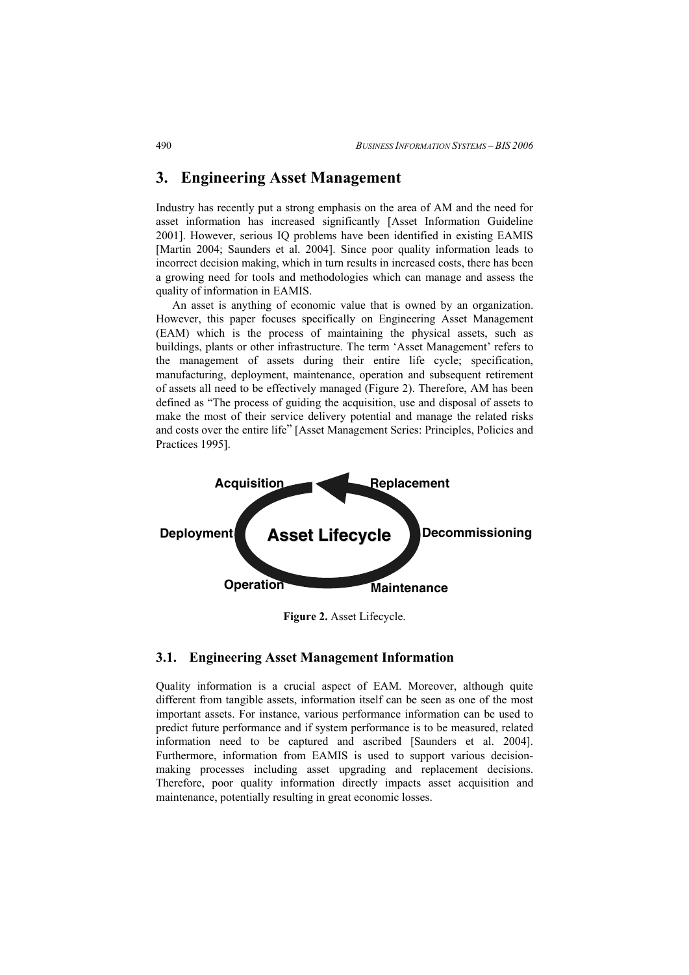## **3. Engineering Asset Management**

Industry has recently put a strong emphasis on the area of AM and the need for asset information has increased significantly [Asset Information Guideline 2001]. However, serious IQ problems have been identified in existing EAMIS [Martin 2004; Saunders et al. 2004]. Since poor quality information leads to incorrect decision making, which in turn results in increased costs, there has been a growing need for tools and methodologies which can manage and assess the quality of information in EAMIS.

An asset is anything of economic value that is owned by an organization. However, this paper focuses specifically on Engineering Asset Management (EAM) which is the process of maintaining the physical assets, such as buildings, plants or other infrastructure. The term 'Asset Management' refers to the management of assets during their entire life cycle; specification, manufacturing, deployment, maintenance, operation and subsequent retirement of assets all need to be effectively managed (Figure 2). Therefore, AM has been defined as "The process of guiding the acquisition, use and disposal of assets to make the most of their service delivery potential and manage the related risks and costs over the entire life" [Asset Management Series: Principles, Policies and Practices 1995].



**Figure 2.** Asset Lifecycle.

### **3.1. Engineering Asset Management Information**

Quality information is a crucial aspect of EAM. Moreover, although quite different from tangible assets, information itself can be seen as one of the most important assets. For instance, various performance information can be used to predict future performance and if system performance is to be measured, related information need to be captured and ascribed [Saunders et al. 2004]. Furthermore, information from EAMIS is used to support various decisionmaking processes including asset upgrading and replacement decisions. Therefore, poor quality information directly impacts asset acquisition and maintenance, potentially resulting in great economic losses.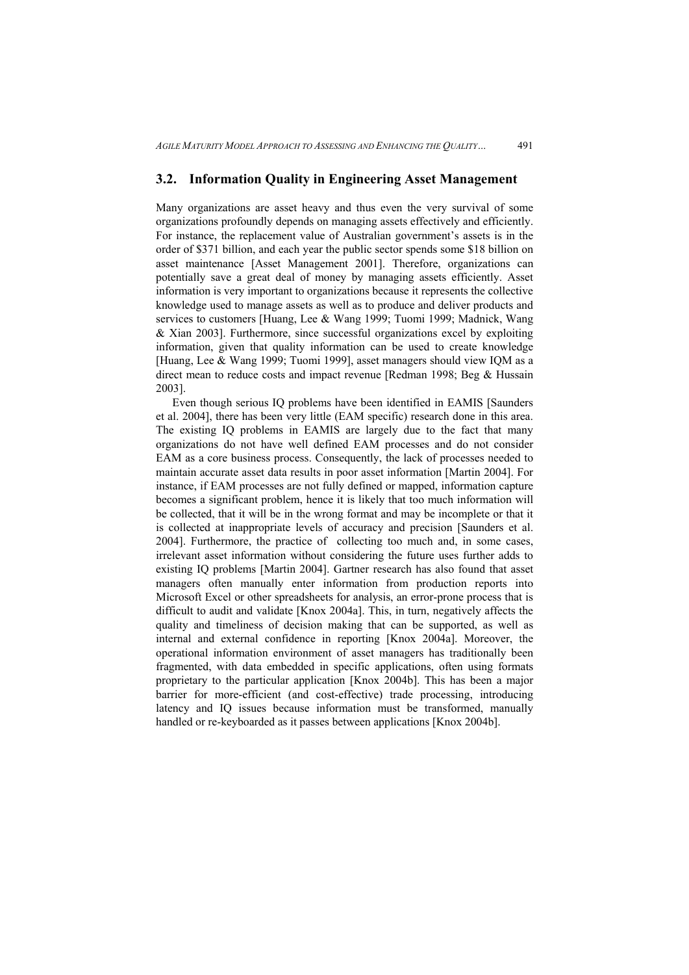#### **3.2. Information Quality in Engineering Asset Management**

Many organizations are asset heavy and thus even the very survival of some organizations profoundly depends on managing assets effectively and efficiently. For instance, the replacement value of Australian government's assets is in the order of \$371 billion, and each year the public sector spends some \$18 billion on asset maintenance [Asset Management 2001]. Therefore, organizations can potentially save a great deal of money by managing assets efficiently. Asset information is very important to organizations because it represents the collective knowledge used to manage assets as well as to produce and deliver products and services to customers [Huang, Lee & Wang 1999; Tuomi 1999; Madnick, Wang & Xian 2003]. Furthermore, since successful organizations excel by exploiting information, given that quality information can be used to create knowledge [Huang, Lee & Wang 1999; Tuomi 1999], asset managers should view IQM as a direct mean to reduce costs and impact revenue [Redman 1998; Beg & Hussain 2003].

Even though serious IQ problems have been identified in EAMIS [Saunders et al. 2004], there has been very little (EAM specific) research done in this area. The existing IQ problems in EAMIS are largely due to the fact that many organizations do not have well defined EAM processes and do not consider EAM as a core business process. Consequently, the lack of processes needed to maintain accurate asset data results in poor asset information [Martin 2004]. For instance, if EAM processes are not fully defined or mapped, information capture becomes a significant problem, hence it is likely that too much information will be collected, that it will be in the wrong format and may be incomplete or that it is collected at inappropriate levels of accuracy and precision [Saunders et al. 2004]. Furthermore, the practice of collecting too much and, in some cases, irrelevant asset information without considering the future uses further adds to existing IQ problems [Martin 2004]. Gartner research has also found that asset managers often manually enter information from production reports into Microsoft Excel or other spreadsheets for analysis, an error-prone process that is difficult to audit and validate [Knox 2004a]. This, in turn, negatively affects the quality and timeliness of decision making that can be supported, as well as internal and external confidence in reporting [Knox 2004a]. Moreover, the operational information environment of asset managers has traditionally been fragmented, with data embedded in specific applications, often using formats proprietary to the particular application [Knox 2004b]. This has been a major barrier for more-efficient (and cost-effective) trade processing, introducing latency and IQ issues because information must be transformed, manually handled or re-keyboarded as it passes between applications [Knox 2004b].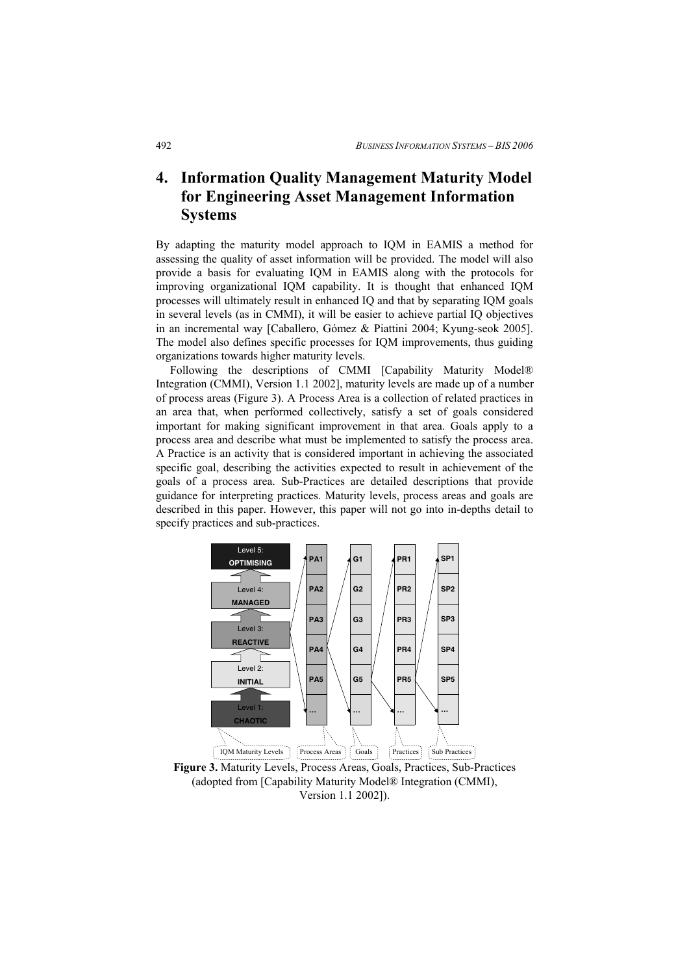## **4. Information Quality Management Maturity Model for Engineering Asset Management Information Systems**

By adapting the maturity model approach to IQM in EAMIS a method for assessing the quality of asset information will be provided. The model will also provide a basis for evaluating IQM in EAMIS along with the protocols for improving organizational IQM capability. It is thought that enhanced IQM processes will ultimately result in enhanced IQ and that by separating IQM goals in several levels (as in CMMI), it will be easier to achieve partial IQ objectives in an incremental way [Caballero, Gómez & Piattini 2004; Kyung-seok 2005]. The model also defines specific processes for IQM improvements, thus guiding organizations towards higher maturity levels.

Following the descriptions of CMMI [Capability Maturity Model® Integration (CMMI), Version 1.1 2002], maturity levels are made up of a number of process areas (Figure 3). A Process Area is a collection of related practices in an area that, when performed collectively, satisfy a set of goals considered important for making significant improvement in that area. Goals apply to a process area and describe what must be implemented to satisfy the process area. A Practice is an activity that is considered important in achieving the associated specific goal, describing the activities expected to result in achievement of the goals of a process area. Sub-Practices are detailed descriptions that provide guidance for interpreting practices. Maturity levels, process areas and goals are described in this paper. However, this paper will not go into in-depths detail to specify practices and sub-practices.



**Figure 3.** Maturity Levels, Process Areas, Goals, Practices, Sub-Practices (adopted from [Capability Maturity Model® Integration (CMMI), Version 1.1 2002]).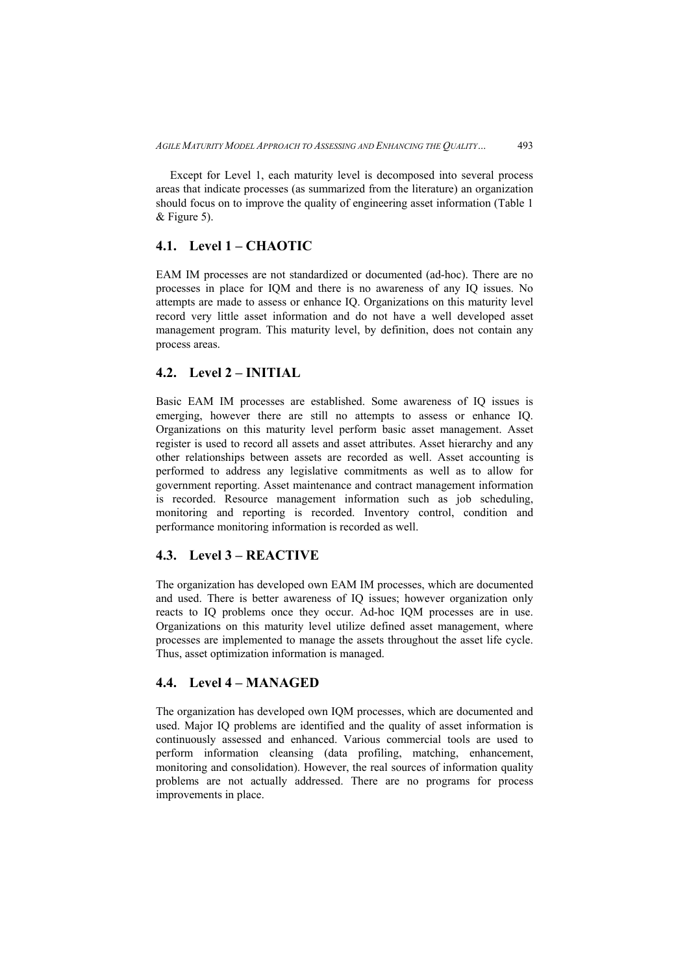Except for Level 1, each maturity level is decomposed into several process areas that indicate processes (as summarized from the literature) an organization should focus on to improve the quality of engineering asset information (Table 1 & Figure 5).

### **4.1. Level 1 – CHAOTIC**

EAM IM processes are not standardized or documented (ad-hoc). There are no processes in place for IQM and there is no awareness of any IQ issues. No attempts are made to assess or enhance IQ. Organizations on this maturity level record very little asset information and do not have a well developed asset management program. This maturity level, by definition, does not contain any process areas.

### **4.2. Level 2 – INITIAL**

Basic EAM IM processes are established. Some awareness of IQ issues is emerging, however there are still no attempts to assess or enhance IQ. Organizations on this maturity level perform basic asset management. Asset register is used to record all assets and asset attributes. Asset hierarchy and any other relationships between assets are recorded as well. Asset accounting is performed to address any legislative commitments as well as to allow for government reporting. Asset maintenance and contract management information is recorded. Resource management information such as job scheduling, monitoring and reporting is recorded. Inventory control, condition and performance monitoring information is recorded as well.

### **4.3. Level 3 – REACTIVE**

The organization has developed own EAM IM processes, which are documented and used. There is better awareness of IQ issues; however organization only reacts to IQ problems once they occur. Ad-hoc IQM processes are in use. Organizations on this maturity level utilize defined asset management, where processes are implemented to manage the assets throughout the asset life cycle. Thus, asset optimization information is managed.

## **4.4. Level 4 – MANAGED**

The organization has developed own IQM processes, which are documented and used. Major IQ problems are identified and the quality of asset information is continuously assessed and enhanced. Various commercial tools are used to perform information cleansing (data profiling, matching, enhancement, monitoring and consolidation). However, the real sources of information quality problems are not actually addressed. There are no programs for process improvements in place.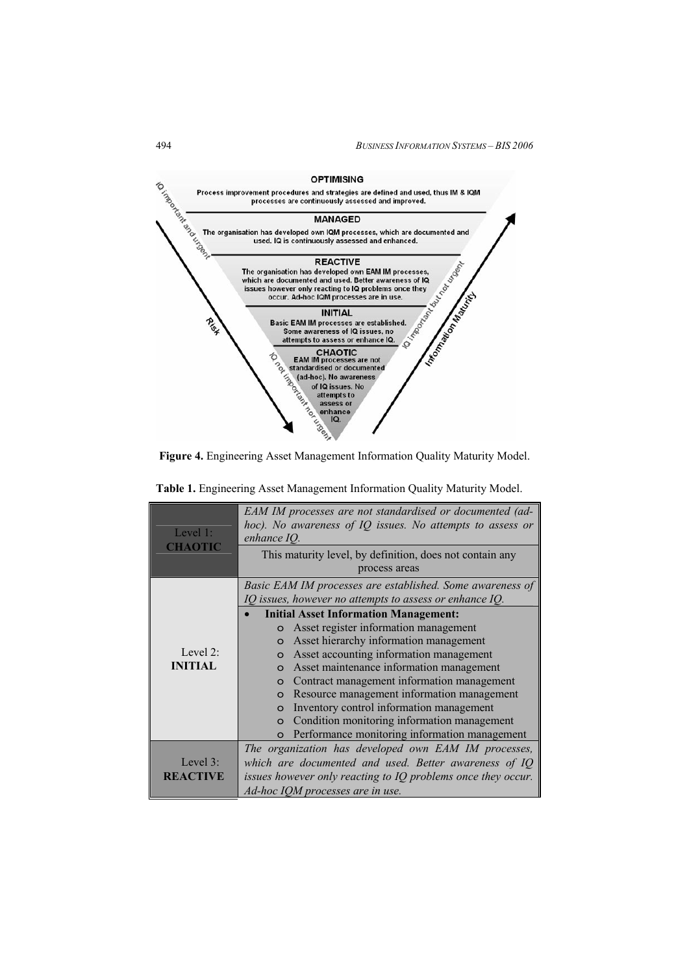

**Figure 4.** Engineering Asset Management Information Quality Maturity Model.

| Level $1$ :<br><b>CHAOTIC</b> | EAM IM processes are not standardised or documented (ad-     |
|-------------------------------|--------------------------------------------------------------|
|                               | hoc). No awareness of IQ issues. No attempts to assess or    |
|                               | enhance IQ.                                                  |
|                               | This maturity level, by definition, does not contain any     |
|                               | process areas                                                |
|                               | Basic EAM IM processes are established. Some awareness of    |
|                               | IQ issues, however no attempts to assess or enhance IQ.      |
|                               | <b>Initial Asset Information Management:</b>                 |
|                               | o Asset register information management                      |
|                               | Asset hierarchy information management<br>$\circ$            |
| Level 2:                      | Asset accounting information management<br>$\Omega$          |
| <b>INITIAL</b>                | Asset maintenance information management                     |
|                               | Contract management information management<br>$\Omega$       |
|                               | Resource management information management<br>$\circ$        |
|                               | Inventory control information management<br>$\circ$          |
|                               | Condition monitoring information management<br>$\circ$       |
|                               | Performance monitoring information management<br>$\circ$     |
|                               | The organization has developed own EAM IM processes,         |
| Level $3$ :                   | which are documented and used. Better awareness of IQ        |
| <b>REACTIVE</b>               | issues however only reacting to IQ problems once they occur. |
|                               | Ad-hoc IQM processes are in use.                             |

**Table 1.** Engineering Asset Management Information Quality Maturity Model.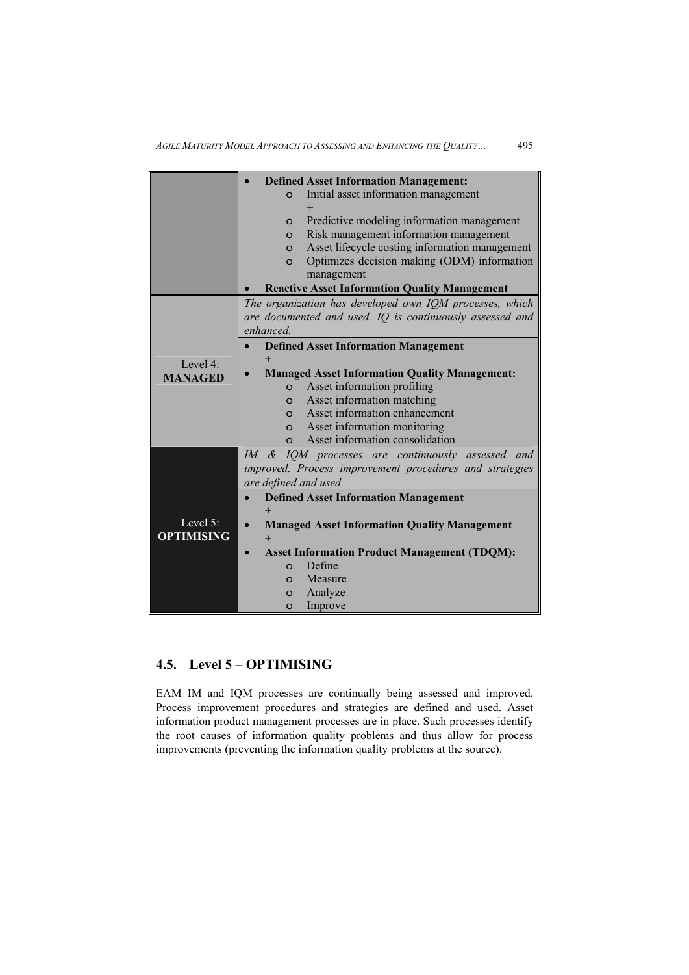|                               | <b>Defined Asset Information Management:</b>                                                               |
|-------------------------------|------------------------------------------------------------------------------------------------------------|
|                               | Initial asset information management<br>$\Omega$                                                           |
|                               |                                                                                                            |
|                               | Predictive modeling information management<br>$\circ$<br>Risk management information management<br>$\circ$ |
|                               | Asset lifecycle costing information management<br>$\circ$                                                  |
|                               | Optimizes decision making (ODM) information<br>$\Omega$                                                    |
|                               | management                                                                                                 |
|                               | <b>Reactive Asset Information Quality Management</b>                                                       |
|                               | The organization has developed own IQM processes, which                                                    |
|                               | are documented and used. IQ is continuously assessed and                                                   |
|                               | enhanced.                                                                                                  |
|                               | <b>Defined Asset Information Management</b>                                                                |
| Level $4$ <sup>.</sup>        | $^{+}$                                                                                                     |
| <b>MANAGED</b>                | <b>Managed Asset Information Quality Management:</b>                                                       |
|                               | Asset information profiling<br>$\Omega$                                                                    |
|                               | Asset information matching<br>$\circ$                                                                      |
|                               | Asset information enhancement<br>$\Omega$                                                                  |
|                               | Asset information monitoring<br>$\circ$                                                                    |
|                               | Asset information consolidation<br>$\Omega$                                                                |
|                               | IM & IQM processes are continuously assessed and                                                           |
|                               | improved. Process improvement procedures and strategies                                                    |
|                               | are defined and used.                                                                                      |
|                               | <b>Defined Asset Information Management</b>                                                                |
| Level 5:<br><b>OPTIMISING</b> | $\ddot{}$                                                                                                  |
|                               | <b>Managed Asset Information Quality Management</b><br>$\bullet$                                           |
|                               | $+$                                                                                                        |
|                               | <b>Asset Information Product Management (TDQM):</b>                                                        |
|                               | Define<br>$\Omega$                                                                                         |
|                               | Measure<br>$\Omega$                                                                                        |
|                               | Analyze<br>$\Omega$                                                                                        |
|                               | Improve<br>$\circ$                                                                                         |

## **4.5. Level 5 – OPTIMISING**

EAM IM and IQM processes are continually being assessed and improved. Process improvement procedures and strategies are defined and used. Asset information product management processes are in place. Such processes identify the root causes of information quality problems and thus allow for process improvements (preventing the information quality problems at the source).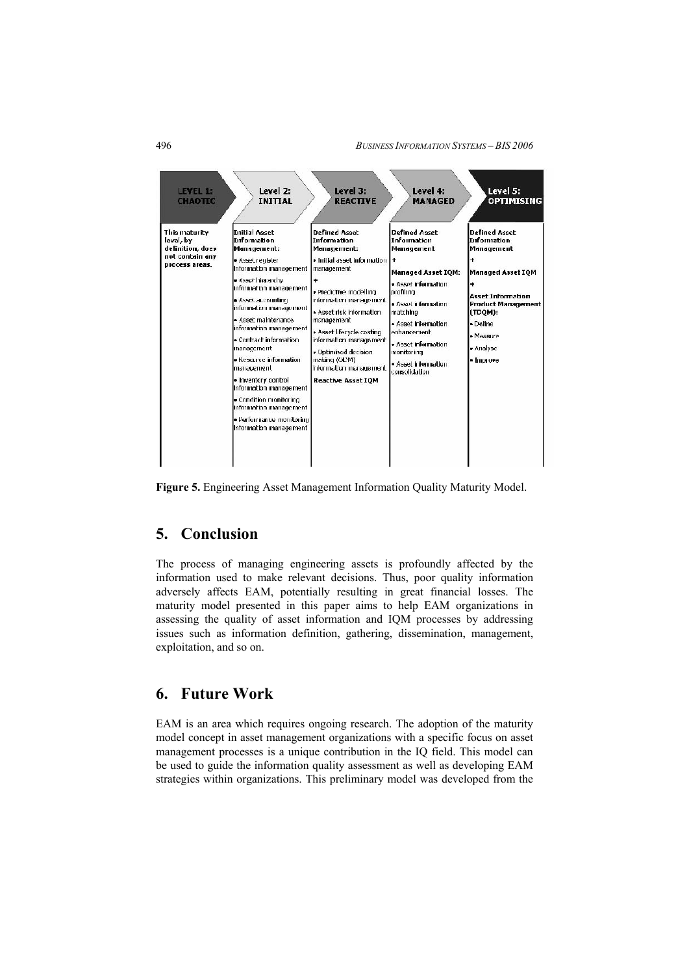

**Figure 5.** Engineering Asset Management Information Quality Maturity Model.

## **5. Conclusion**

The process of managing engineering assets is profoundly affected by the information used to make relevant decisions. Thus, poor quality information adversely affects EAM, potentially resulting in great financial losses. The maturity model presented in this paper aims to help EAM organizations in assessing the quality of asset information and IQM processes by addressing issues such as information definition, gathering, dissemination, management, exploitation, and so on.

## **6. Future Work**

EAM is an area which requires ongoing research. The adoption of the maturity model concept in asset management organizations with a specific focus on asset management processes is a unique contribution in the IQ field. This model can be used to guide the information quality assessment as well as developing EAM strategies within organizations. This preliminary model was developed from the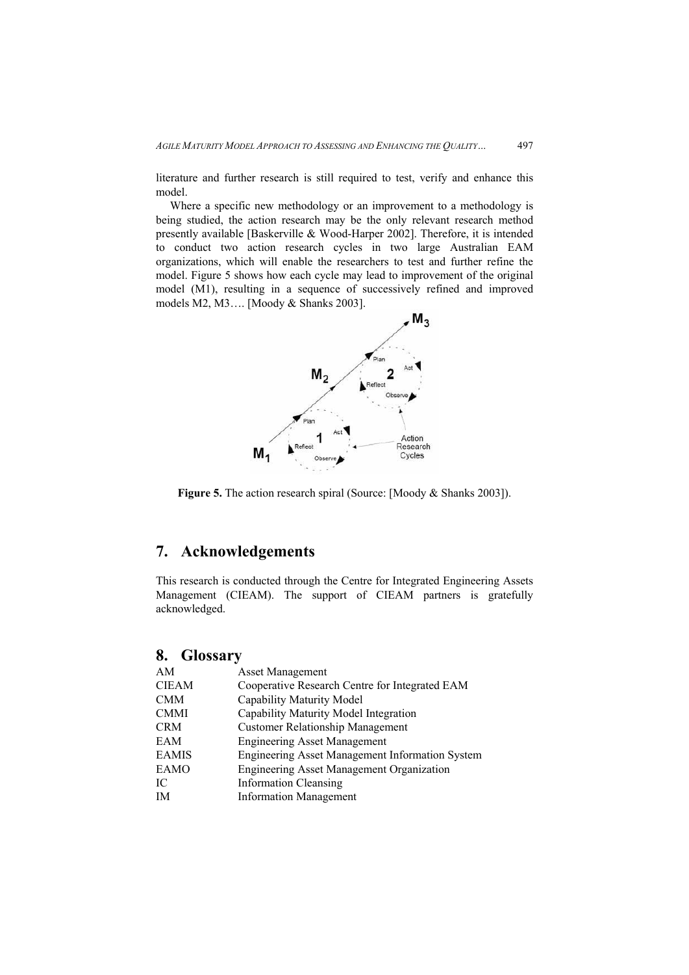literature and further research is still required to test, verify and enhance this model.

Where a specific new methodology or an improvement to a methodology is being studied, the action research may be the only relevant research method presently available [Baskerville & Wood-Harper 2002]. Therefore, it is intended to conduct two action research cycles in two large Australian EAM organizations, which will enable the researchers to test and further refine the model. Figure 5 shows how each cycle may lead to improvement of the original model (M1), resulting in a sequence of successively refined and improved models M2, M3…. [Moody & Shanks 2003].



**Figure 5.** The action research spiral (Source: [Moody & Shanks 2003]).

## **7. Acknowledgements**

This research is conducted through the Centre for Integrated Engineering Assets Management (CIEAM). The support of CIEAM partners is gratefully acknowledged.

## **8. Glossary**

| AM           | <b>Asset Management</b>                          |
|--------------|--------------------------------------------------|
| <b>CIEAM</b> | Cooperative Research Centre for Integrated EAM   |
| <b>CMM</b>   | Capability Maturity Model                        |
| <b>CMMI</b>  | Capability Maturity Model Integration            |
| <b>CRM</b>   | <b>Customer Relationship Management</b>          |
| EAM          | <b>Engineering Asset Management</b>              |
| <b>EAMIS</b> | Engineering Asset Management Information System  |
| <b>EAMO</b>  | <b>Engineering Asset Management Organization</b> |
| IC           | <b>Information Cleansing</b>                     |
| IM           | <b>Information Management</b>                    |
|              |                                                  |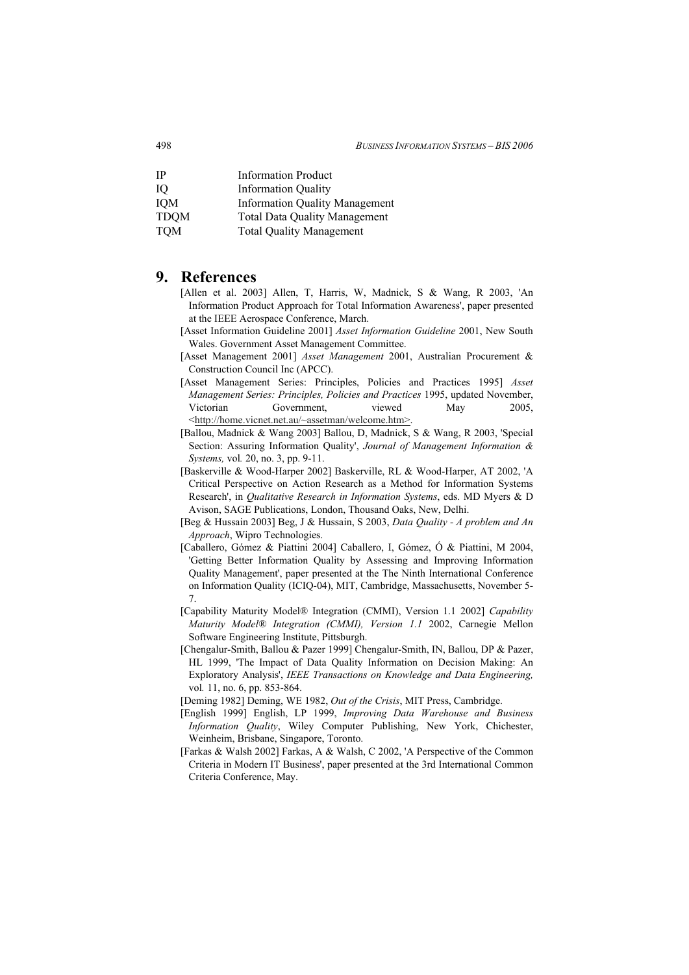| IP          | <b>Information Product</b>            |
|-------------|---------------------------------------|
| IО          | <b>Information Quality</b>            |
| <b>IOM</b>  | <b>Information Quality Management</b> |
| <b>TDQM</b> | <b>Total Data Quality Management</b>  |
| <b>TQM</b>  | <b>Total Quality Management</b>       |

## **9. References**

- [Allen et al. 2003] Allen, T, Harris, W, Madnick, S & Wang, R 2003, 'An Information Product Approach for Total Information Awareness', paper presented at the IEEE Aerospace Conference, March.
- [Asset Information Guideline 2001] *Asset Information Guideline* 2001, New South Wales. Government Asset Management Committee.
- [Asset Management 2001] *Asset Management* 2001, Australian Procurement & Construction Council Inc (APCC).
- [Asset Management Series: Principles, Policies and Practices 1995] *Asset Management Series: Principles, Policies and Practices* 1995, updated November, Victorian Government, viewed May 2005, <http://home.vicnet.net.au/~assetman/welcome.htm>.
- [Ballou, Madnick & Wang 2003] Ballou, D, Madnick, S & Wang, R 2003, 'Special Section: Assuring Information Quality', *Journal of Management Information & Systems,* vol*.* 20, no. 3, pp. 9-11.
- [Baskerville & Wood-Harper 2002] Baskerville, RL & Wood-Harper, AT 2002, 'A Critical Perspective on Action Research as a Method for Information Systems Research', in *Qualitative Research in Information Systems*, eds. MD Myers & D Avison, SAGE Publications, London, Thousand Oaks, New, Delhi.
- [Beg & Hussain 2003] Beg, J & Hussain, S 2003, *Data Quality A problem and An Approach*, Wipro Technologies.
- [Caballero, Gómez & Piattini 2004] Caballero, I, Gómez, Ó & Piattini, M 2004, 'Getting Better Information Quality by Assessing and Improving Information Quality Management', paper presented at the The Ninth International Conference on Information Quality (ICIQ-04), MIT, Cambridge, Massachusetts, November 5- 7.
- [Capability Maturity Model® Integration (CMMI), Version 1.1 2002] *Capability Maturity Model® Integration (CMMI), Version 1.1* 2002, Carnegie Mellon Software Engineering Institute, Pittsburgh.
- [Chengalur-Smith, Ballou & Pazer 1999] Chengalur-Smith, IN, Ballou, DP & Pazer, HL 1999, 'The Impact of Data Quality Information on Decision Making: An Exploratory Analysis', *IEEE Transactions on Knowledge and Data Engineering,* vol*.* 11, no. 6, pp. 853-864.
- [Deming 1982] Deming, WE 1982, *Out of the Crisis*, MIT Press, Cambridge.
- [English 1999] English, LP 1999, *Improving Data Warehouse and Business Information Quality*, Wiley Computer Publishing, New York, Chichester, Weinheim, Brisbane, Singapore, Toronto.
- [Farkas & Walsh 2002] Farkas, A & Walsh, C 2002, 'A Perspective of the Common Criteria in Modern IT Business', paper presented at the 3rd International Common Criteria Conference, May.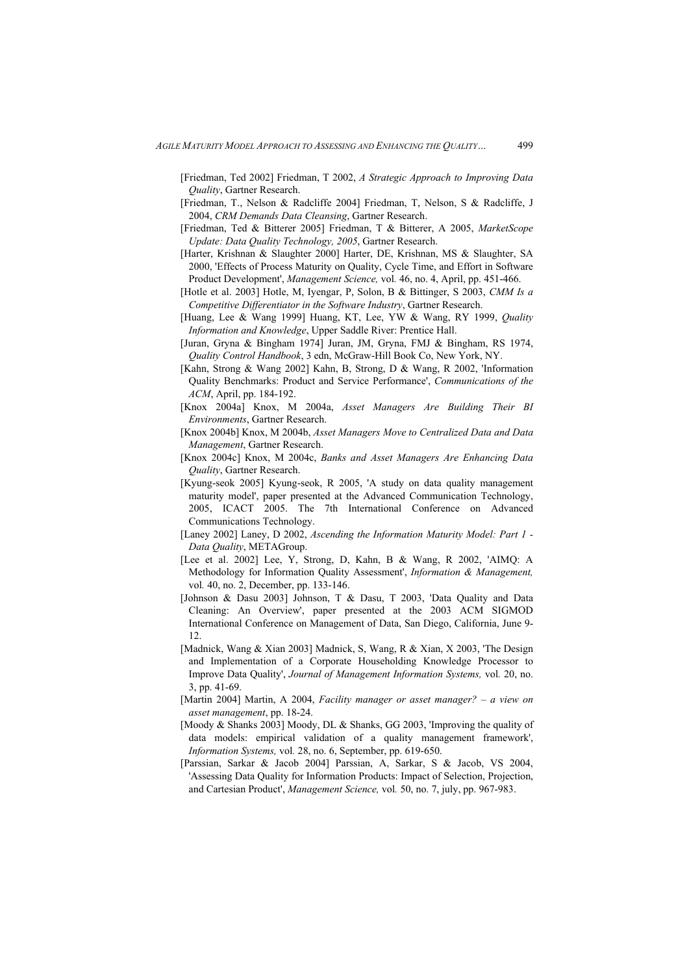- [Friedman, Ted 2002] Friedman, T 2002, *A Strategic Approach to Improving Data Quality*, Gartner Research.
- [Friedman, T., Nelson & Radcliffe 2004] Friedman, T, Nelson, S & Radcliffe, J 2004, *CRM Demands Data Cleansing*, Gartner Research.
- [Friedman, Ted & Bitterer 2005] Friedman, T & Bitterer, A 2005, *MarketScope Update: Data Quality Technology, 2005*, Gartner Research.
- [Harter, Krishnan & Slaughter 2000] Harter, DE, Krishnan, MS & Slaughter, SA 2000, 'Effects of Process Maturity on Quality, Cycle Time, and Effort in Software Product Development', *Management Science,* vol*.* 46, no. 4, April, pp. 451-466.
- [Hotle et al. 2003] Hotle, M, Iyengar, P, Solon, B & Bittinger, S 2003, *CMM Is a Competitive Differentiator in the Software Industry*, Gartner Research.
- [Huang, Lee & Wang 1999] Huang, KT, Lee, YW & Wang, RY 1999, *Quality Information and Knowledge*, Upper Saddle River: Prentice Hall.
- [Juran, Gryna & Bingham 1974] Juran, JM, Gryna, FMJ & Bingham, RS 1974, *Quality Control Handbook*, 3 edn, McGraw-Hill Book Co, New York, NY.
- [Kahn, Strong & Wang 2002] Kahn, B, Strong, D & Wang, R 2002, 'Information Quality Benchmarks: Product and Service Performance', *Communications of the ACM*, April, pp. 184-192.
- [Knox 2004a] Knox, M 2004a, *Asset Managers Are Building Their BI Environments*, Gartner Research.
- [Knox 2004b] Knox, M 2004b, *Asset Managers Move to Centralized Data and Data Management*, Gartner Research.
- [Knox 2004c] Knox, M 2004c, *Banks and Asset Managers Are Enhancing Data Quality*, Gartner Research.
- [Kyung-seok 2005] Kyung-seok, R 2005, 'A study on data quality management maturity model', paper presented at the Advanced Communication Technology, 2005, ICACT 2005. The 7th International Conference on Advanced Communications Technology.
- [Laney 2002] Laney, D 2002, *Ascending the Information Maturity Model: Part 1 Data Quality*, METAGroup.
- [Lee et al. 2002] Lee, Y, Strong, D, Kahn, B & Wang, R 2002, 'AIMQ: A Methodology for Information Quality Assessment', *Information & Management,*  vol*.* 40, no. 2, December, pp. 133-146.
- [Johnson & Dasu 2003] Johnson, T & Dasu, T 2003, 'Data Quality and Data Cleaning: An Overview', paper presented at the 2003 ACM SIGMOD International Conference on Management of Data, San Diego, California, June 9- 12.
- [Madnick, Wang & Xian 2003] Madnick, S, Wang, R & Xian, X 2003, 'The Design and Implementation of a Corporate Householding Knowledge Processor to Improve Data Quality', *Journal of Management Information Systems,* vol*.* 20, no. 3, pp. 41-69.
- [Martin 2004] Martin, A 2004, *Facility manager or asset manager? a view on asset management*, pp. 18-24.
- [Moody & Shanks 2003] Moody, DL & Shanks, GG 2003, 'Improving the quality of data models: empirical validation of a quality management framework', *Information Systems,* vol*.* 28, no. 6, September, pp. 619-650.
- [Parssian, Sarkar & Jacob 2004] Parssian, A, Sarkar, S & Jacob, VS 2004, 'Assessing Data Quality for Information Products: Impact of Selection, Projection, and Cartesian Product', *Management Science,* vol*.* 50, no. 7, july, pp. 967-983.